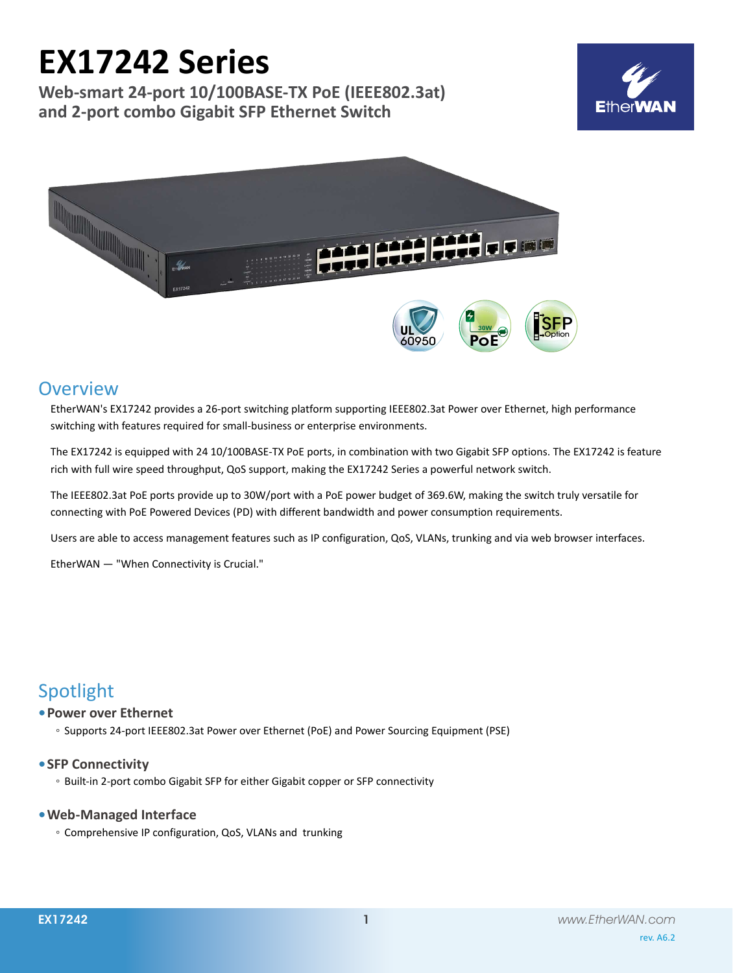# **EX17242 Series**

**Web-smart 24-port 10/100BASE-TX PoE (IEEE802.3at) and 2-port combo Gigabit SFP Ethernet Switch**





# **Overview**

EtherWAN's EX17242 provides a 26-port switching platform supporting IEEE802.3at Power over Ethernet, high performance switching with features required for small-business or enterprise environments.

The EX17242 is equipped with 24 10/100BASE-TX PoE ports, in combination with two Gigabit SFP options. The EX17242 is feature rich with full wire speed throughput, QoS support, making the EX17242 Series a powerful network switch.

The IEEE802.3at PoE ports provide up to 30W/port with a PoE power budget of 369.6W, making the switch truly versatile for connecting with PoE Powered Devices (PD) with different bandwidth and power consumption requirements.

Users are able to access management features such as IP configuration, QoS, VLANs, trunking and via web browser interfaces.

EtherWAN — "When Connectivity is Crucial."

# Spotlight

## **• Power over Ethernet**

◦ Supports 24-port IEEE802.3at Power over Ethernet (PoE) and Power Sourcing Equipment (PSE)

## **• SFP Connectivity**

◦ Built-in 2-port combo Gigabit SFP for either Gigabit copper or SFP connectivity

## **• Web-Managed Interface**

◦ Comprehensive IP configuration, QoS, VLANs and trunking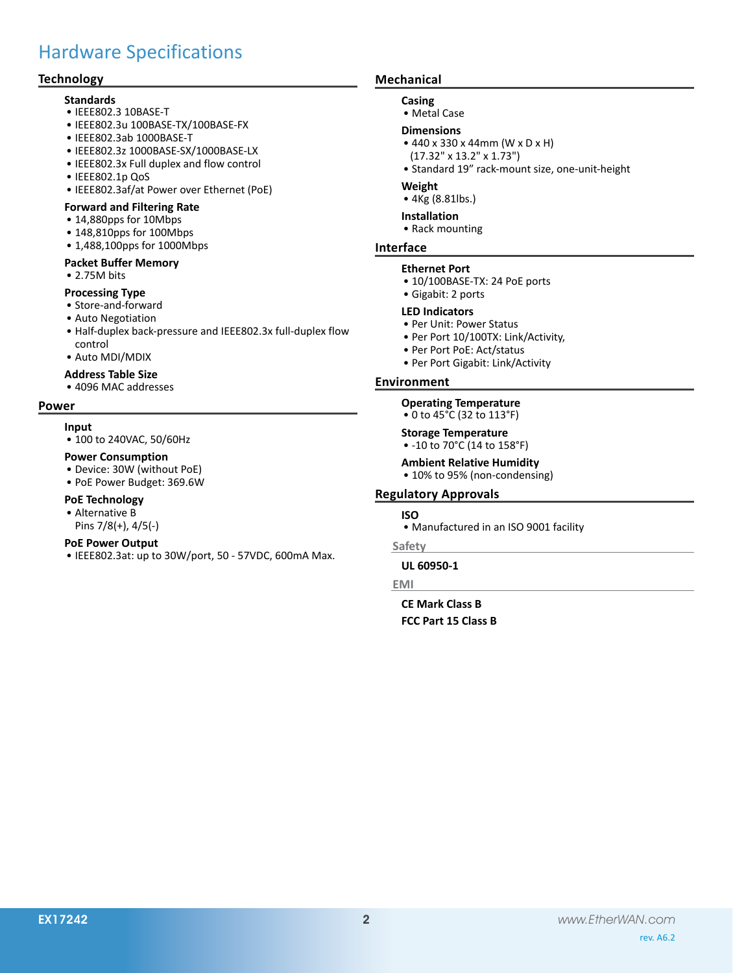# Hardware Specifications

## **Technology**

#### **Standards**

- • IEEE802.3 10BASE-T
- • IEEE802.3u 100BASE-TX/100BASE-FX
- • IEEE802.3ab 1000BASE-T
- • IEEE802.3z 1000BASE-SX/1000BASE-LX
- • IEEE802.3x Full duplex and flow control
- • IEEE802.1p QoS
- • IEEE802.3af/at Power over Ethernet (PoE)

#### **Forward and Filtering Rate**

- • 14,880pps for 10Mbps
- • 148,810pps for 100Mbps
- 1,488,100pps for 1000Mbps

#### **Packet Buffer Memory**

• 2.75M bits

#### **Processing Type**

- • Store-and-forward
- • Auto Negotiation
- Half-duplex back-pressure and IEEE802.3x full-duplex flow control
- • Auto MDI/MDIX

#### **Address Table Size**

• 4096 MAC addresses

# **Power**

- **Input**
	- 100 to 240VAC, 50/60Hz

#### **Power Consumption**

- • Device: 30W (without PoE)
- • PoE Power Budget: 369.6W

#### **PoE Technology**

- • Alternative B
- Pins 7/8(+), 4/5(-)

#### **PoE Power Output**

• IEEE802.3at: up to 30W/port, 50 - 57VDC, 600mA Max.

### **Mechanical**

#### **Casing**

• Metal Case

#### **Dimensions**

- • 440 x 330 x 44mm (W x D x H)
- (17.32" x 13.2" x 1.73")
- • Standard 19" rack-mount size, one-unit-height

#### **Weight**

• 4Kg (8.81lbs.)

### **Installation**

• Rack mounting

# **Interface**

- **Ethernet Port**
- 10/100BASE-TX: 24 PoE ports
- • Gigabit: 2 ports

#### **LED Indicators**

- • Per Unit: Power Status
- Per Port 10/100TX: Link/Activity,
- • Per Port PoE: Act/status
- • Per Port Gigabit: Link/Activity

#### **Environment**

**Operating Temperature** • 0 to 45°C (32 to 113°F)

**Storage Temperature**

- -10 to 70°C (14 to 158°F)
- **Ambient Relative Humidity**
- 10% to 95% (non-condensing)

#### **Regulatory Approvals**

#### **ISO**

• Manufactured in an ISO 9001 facility

#### **Safety**

# **UL 60950-1**

# **EMI**

**CE Mark Class B FCC Part 15 Class B**